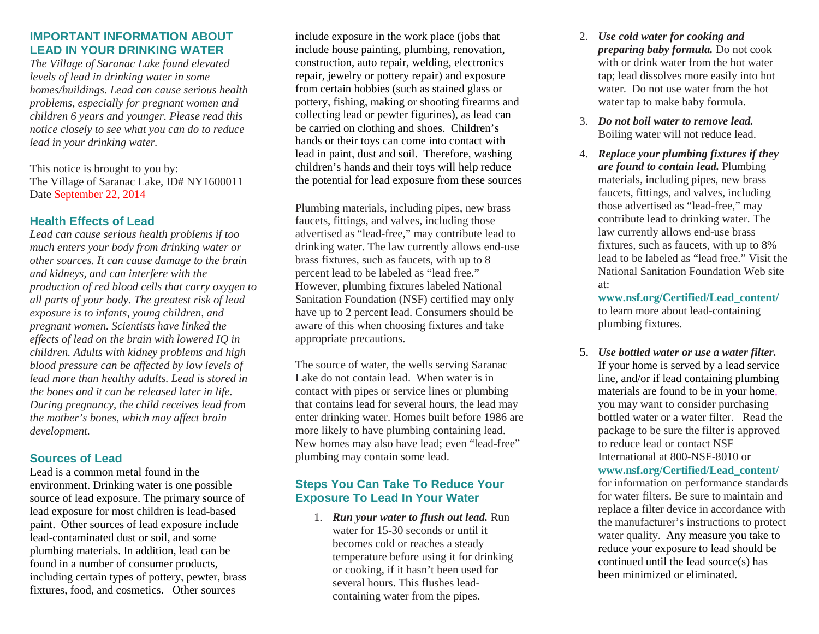# **IMPORTANT INFORMATION ABOUT LEAD IN YOUR DRINKING WATER**

*The Village of Saranac Lake found elevated levels of lead in drinking water in some homes/buildings. Lead can cause serious health problems, especially for pregnant women and children 6 years and younger. Please read this notice closely to see what you can do to reduce lead in your drinking water.*

This notice is brought to you by: The Village of Saranac Lake, ID# NY1600011 Date September 22, 2014

## **Health Effects of Lead**

*Lead can cause serious health problems if too much enters your body from drinking water or other sources. It can cause damage to the brain and kidneys, and can interfere with the production of red blood cells that carry oxygen to all parts of your body. The greatest risk of lead exposure is to infants, young children, and pregnant women. Scientists have linked the effects of lead on the brain with lowered IQ in children. Adults with kidney problems and high blood pressure can be affected by low levels of lead more than healthy adults. Lead is stored in the bones and it can be released later in life. During pregnancy, the child receives lead from the mother's bones, which may affect brain development.*

# **Sources of Lead**

Lead is a common metal found in the environment. Drinking water is one possible source of lead exposure. The primary source of lead exposure for most children is lead-based paint. Other sources of lead exposure include lead-contaminated dust or soil, and some plumbing materials. In addition, lead can be found in a number of consumer products, including certain types of pottery, pewter, brass fixtures, food, and cosmetics. Other sources

include exposure in the work place (jobs that include house painting, plumbing, renovation, construction, auto repair, welding, electronics repair, jewelry or pottery repair) and exposure from certain hobbies (such as stained glass or pottery, fishing, making or shooting firearms and collecting lead or pewter figurines), as lead can be carried on clothing and shoes. Children's hands or their toys can come into contact with lead in paint, dust and soil. Therefore, washing children's hands and their toys will help reduce the potential for lead exposure from these sources

Plumbing materials, including pipes, new brass faucets, fittings, and valves, including those advertised as "lead-free," may contribute lead to drinking water. The law currently allows end-use brass fixtures, such as faucets, with up to 8 percent lead to be labeled as "lead free." However, plumbing fixtures labeled National Sanitation Foundation (NSF) certified may only have up to 2 percent lead. Consumers should be aware of this when choosing fixtures and take appropriate precautions.

The source of water, the wells serving Saranac Lake do not contain lead. When water is in contact with pipes or service lines or plumbing that contains lead for several hours, the lead may enter drinking water. Homes built before 1986 are more likely to have plumbing containing lead. New homes may also have lead; even "lead-free" plumbing may contain some lead.

# **Steps You Can Take To Reduce Your Exposure To Lead In Your Water**

1. *Run your water to flush out lead.* Run water for 15-30 seconds or until it becomes cold or reaches a steady temperature before using it for drinking or cooking, if it hasn't been used for several hours. This flushes leadcontaining water from the pipes.

- 2. *Use cold water for cooking and preparing baby formula.* Do not cook with or drink water from the hot water tap; lead dissolves more easily into hot water. Do not use water from the hot water tap to make baby formula.
- 3. *Do not boil water to remove lead.*  Boiling water will not reduce lead.
- 4. *Replace your plumbing fixtures if they are found to contain lead.* Plumbing materials, including pipes, new brass faucets, fittings, and valves, including those advertised as "lead-free," may contribute lead to drinking water. The law currently allows end-use brass fixtures, such as faucets, with up to 8% lead to be labeled as "lead free." Visit the National Sanitation Foundation Web site at:

**www.nsf.org/Certified/Lead\_content/** to learn more about lead-containing plumbing fixtures.

5. *Use bottled water or use a water filter.*  If your home is served by a lead service line, and/or if lead containing plumbing materials are found to be in your home*,*  you may want to consider purchasing bottled water or a water filter. Read the package to be sure the filter is approved to reduce lead or contact NSF International at 800-NSF-8010 or **www.nsf.org/Certified/Lead\_content/** for information on performance standards for water filters. Be sure to maintain and replace a filter device in accordance with the manufacturer's instructions to protect water quality. Any measure you take to reduce your exposure to lead should be continued until the lead source(s) has been minimized or eliminated.